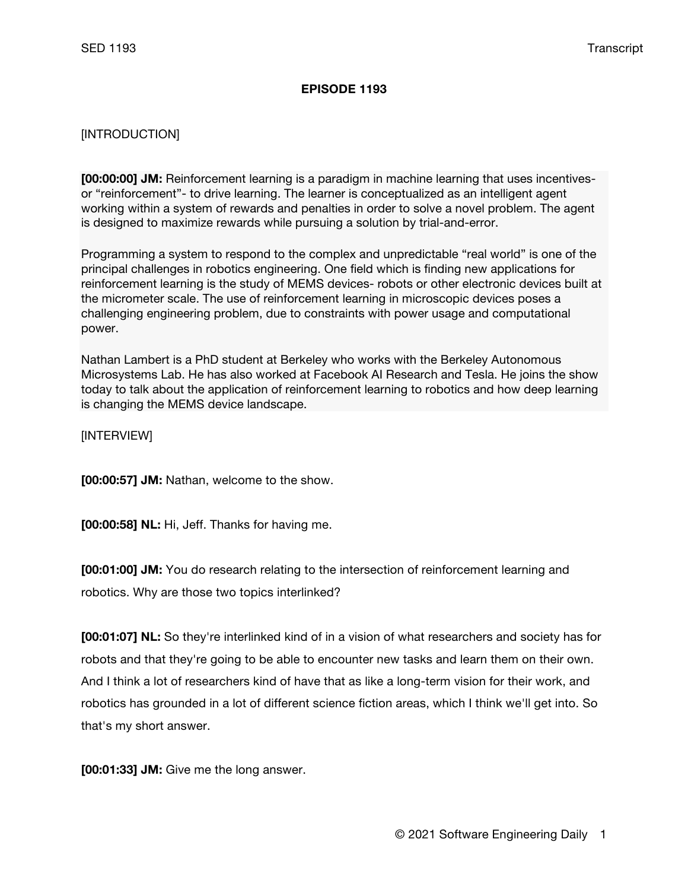## **EPISODE 1193**

## [INTRODUCTION]

**[00:00:00] JM:** Reinforcement learning is a paradigm in machine learning that uses incentivesor "reinforcement"- to drive learning. The learner is conceptualized as an intelligent agent working within a system of rewards and penalties in order to solve a novel problem. The agent is designed to maximize rewards while pursuing a solution by trial-and-error.

Programming a system to respond to the complex and unpredictable "real world" is one of the principal challenges in robotics engineering. One field which is finding new applications for reinforcement learning is the study of MEMS devices- robots or other electronic devices built at the micrometer scale. The use of reinforcement learning in microscopic devices poses a challenging engineering problem, due to constraints with power usage and computational power.

Nathan Lambert is a PhD student at Berkeley who works with the Berkeley Autonomous Microsystems Lab. He has also worked at Facebook AI Research and Tesla. He joins the show today to talk about the application of reinforcement learning to robotics and how deep learning is changing the MEMS device landscape.

[INTERVIEW]

**[00:00:57] JM:** Nathan, welcome to the show.

**[00:00:58] NL:** Hi, Jeff. Thanks for having me.

**[00:01:00] JM:** You do research relating to the intersection of reinforcement learning and robotics. Why are those two topics interlinked?

**[00:01:07] NL:** So they're interlinked kind of in a vision of what researchers and society has for robots and that they're going to be able to encounter new tasks and learn them on their own. And I think a lot of researchers kind of have that as like a long-term vision for their work, and robotics has grounded in a lot of different science fiction areas, which I think we'll get into. So that's my short answer.

**[00:01:33] JM:** Give me the long answer.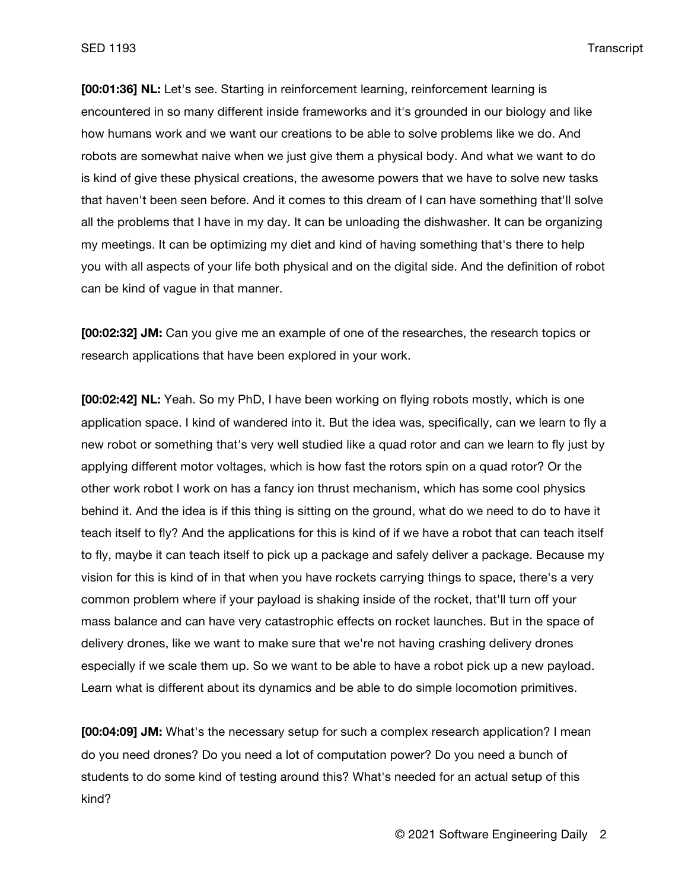SED 1193 Transcript

**[00:01:36] NL:** Let's see. Starting in reinforcement learning, reinforcement learning is encountered in so many different inside frameworks and it's grounded in our biology and like how humans work and we want our creations to be able to solve problems like we do. And robots are somewhat naive when we just give them a physical body. And what we want to do is kind of give these physical creations, the awesome powers that we have to solve new tasks that haven't been seen before. And it comes to this dream of I can have something that'll solve all the problems that I have in my day. It can be unloading the dishwasher. It can be organizing my meetings. It can be optimizing my diet and kind of having something that's there to help you with all aspects of your life both physical and on the digital side. And the definition of robot can be kind of vague in that manner.

**[00:02:32] JM:** Can you give me an example of one of the researches, the research topics or research applications that have been explored in your work.

**[00:02:42] NL:** Yeah. So my PhD, I have been working on flying robots mostly, which is one application space. I kind of wandered into it. But the idea was, specifically, can we learn to fly a new robot or something that's very well studied like a quad rotor and can we learn to fly just by applying different motor voltages, which is how fast the rotors spin on a quad rotor? Or the other work robot I work on has a fancy ion thrust mechanism, which has some cool physics behind it. And the idea is if this thing is sitting on the ground, what do we need to do to have it teach itself to fly? And the applications for this is kind of if we have a robot that can teach itself to fly, maybe it can teach itself to pick up a package and safely deliver a package. Because my vision for this is kind of in that when you have rockets carrying things to space, there's a very common problem where if your payload is shaking inside of the rocket, that'll turn off your mass balance and can have very catastrophic effects on rocket launches. But in the space of delivery drones, like we want to make sure that we're not having crashing delivery drones especially if we scale them up. So we want to be able to have a robot pick up a new payload. Learn what is different about its dynamics and be able to do simple locomotion primitives.

**[00:04:09] JM:** What's the necessary setup for such a complex research application? I mean do you need drones? Do you need a lot of computation power? Do you need a bunch of students to do some kind of testing around this? What's needed for an actual setup of this kind?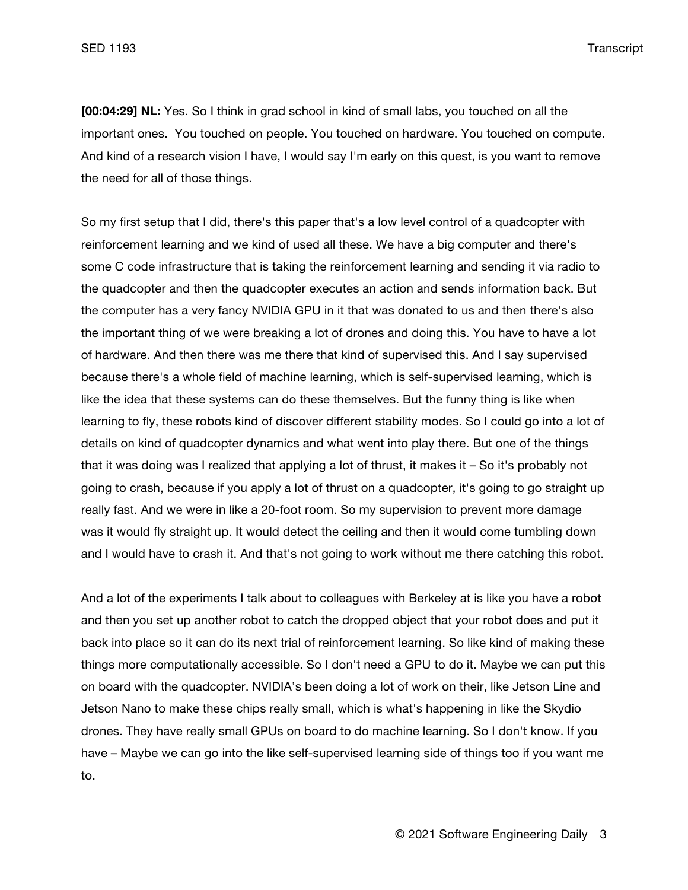**[00:04:29] NL:** Yes. So I think in grad school in kind of small labs, you touched on all the important ones. You touched on people. You touched on hardware. You touched on compute. And kind of a research vision I have, I would say I'm early on this quest, is you want to remove the need for all of those things.

So my first setup that I did, there's this paper that's a low level control of a quadcopter with reinforcement learning and we kind of used all these. We have a big computer and there's some C code infrastructure that is taking the reinforcement learning and sending it via radio to the quadcopter and then the quadcopter executes an action and sends information back. But the computer has a very fancy NVIDIA GPU in it that was donated to us and then there's also the important thing of we were breaking a lot of drones and doing this. You have to have a lot of hardware. And then there was me there that kind of supervised this. And I say supervised because there's a whole field of machine learning, which is self-supervised learning, which is like the idea that these systems can do these themselves. But the funny thing is like when learning to fly, these robots kind of discover different stability modes. So I could go into a lot of details on kind of quadcopter dynamics and what went into play there. But one of the things that it was doing was I realized that applying a lot of thrust, it makes it – So it's probably not going to crash, because if you apply a lot of thrust on a quadcopter, it's going to go straight up really fast. And we were in like a 20-foot room. So my supervision to prevent more damage was it would fly straight up. It would detect the ceiling and then it would come tumbling down and I would have to crash it. And that's not going to work without me there catching this robot.

And a lot of the experiments I talk about to colleagues with Berkeley at is like you have a robot and then you set up another robot to catch the dropped object that your robot does and put it back into place so it can do its next trial of reinforcement learning. So like kind of making these things more computationally accessible. So I don't need a GPU to do it. Maybe we can put this on board with the quadcopter. NVIDIA's been doing a lot of work on their, like Jetson Line and Jetson Nano to make these chips really small, which is what's happening in like the Skydio drones. They have really small GPUs on board to do machine learning. So I don't know. If you have – Maybe we can go into the like self-supervised learning side of things too if you want me to.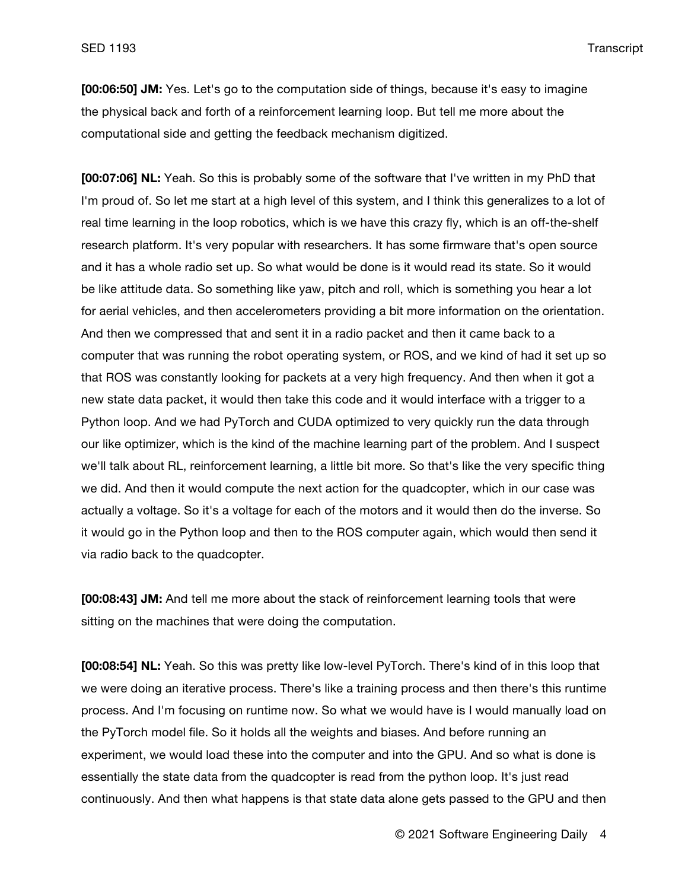SED 1193 Transcript

**[00:06:50] JM:** Yes. Let's go to the computation side of things, because it's easy to imagine the physical back and forth of a reinforcement learning loop. But tell me more about the computational side and getting the feedback mechanism digitized.

**[00:07:06] NL:** Yeah. So this is probably some of the software that I've written in my PhD that I'm proud of. So let me start at a high level of this system, and I think this generalizes to a lot of real time learning in the loop robotics, which is we have this crazy fly, which is an off-the-shelf research platform. It's very popular with researchers. It has some firmware that's open source and it has a whole radio set up. So what would be done is it would read its state. So it would be like attitude data. So something like yaw, pitch and roll, which is something you hear a lot for aerial vehicles, and then accelerometers providing a bit more information on the orientation. And then we compressed that and sent it in a radio packet and then it came back to a computer that was running the robot operating system, or ROS, and we kind of had it set up so that ROS was constantly looking for packets at a very high frequency. And then when it got a new state data packet, it would then take this code and it would interface with a trigger to a Python loop. And we had PyTorch and CUDA optimized to very quickly run the data through our like optimizer, which is the kind of the machine learning part of the problem. And I suspect we'll talk about RL, reinforcement learning, a little bit more. So that's like the very specific thing we did. And then it would compute the next action for the quadcopter, which in our case was actually a voltage. So it's a voltage for each of the motors and it would then do the inverse. So it would go in the Python loop and then to the ROS computer again, which would then send it via radio back to the quadcopter.

**[00:08:43] JM:** And tell me more about the stack of reinforcement learning tools that were sitting on the machines that were doing the computation.

**[00:08:54] NL:** Yeah. So this was pretty like low-level PyTorch. There's kind of in this loop that we were doing an iterative process. There's like a training process and then there's this runtime process. And I'm focusing on runtime now. So what we would have is I would manually load on the PyTorch model file. So it holds all the weights and biases. And before running an experiment, we would load these into the computer and into the GPU. And so what is done is essentially the state data from the quadcopter is read from the python loop. It's just read continuously. And then what happens is that state data alone gets passed to the GPU and then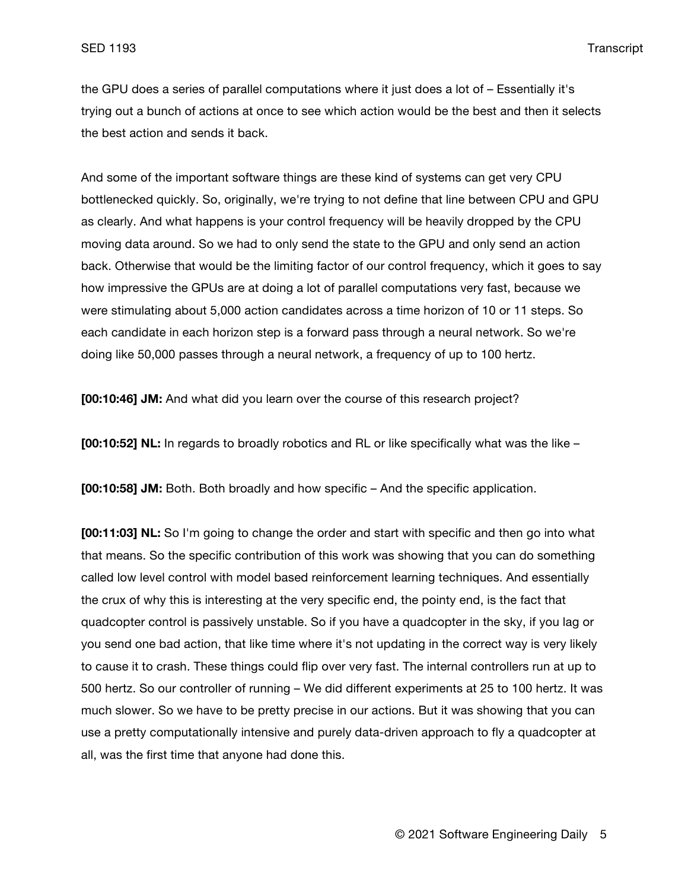the GPU does a series of parallel computations where it just does a lot of – Essentially it's trying out a bunch of actions at once to see which action would be the best and then it selects the best action and sends it back.

And some of the important software things are these kind of systems can get very CPU bottlenecked quickly. So, originally, we're trying to not define that line between CPU and GPU as clearly. And what happens is your control frequency will be heavily dropped by the CPU moving data around. So we had to only send the state to the GPU and only send an action back. Otherwise that would be the limiting factor of our control frequency, which it goes to say how impressive the GPUs are at doing a lot of parallel computations very fast, because we were stimulating about 5,000 action candidates across a time horizon of 10 or 11 steps. So each candidate in each horizon step is a forward pass through a neural network. So we're doing like 50,000 passes through a neural network, a frequency of up to 100 hertz.

**[00:10:46] JM:** And what did you learn over the course of this research project?

**[00:10:52] NL:** In regards to broadly robotics and RL or like specifically what was the like –

**[00:10:58] JM:** Both. Both broadly and how specific – And the specific application.

**[00:11:03] NL:** So I'm going to change the order and start with specific and then go into what that means. So the specific contribution of this work was showing that you can do something called low level control with model based reinforcement learning techniques. And essentially the crux of why this is interesting at the very specific end, the pointy end, is the fact that quadcopter control is passively unstable. So if you have a quadcopter in the sky, if you lag or you send one bad action, that like time where it's not updating in the correct way is very likely to cause it to crash. These things could flip over very fast. The internal controllers run at up to 500 hertz. So our controller of running – We did different experiments at 25 to 100 hertz. It was much slower. So we have to be pretty precise in our actions. But it was showing that you can use a pretty computationally intensive and purely data-driven approach to fly a quadcopter at all, was the first time that anyone had done this.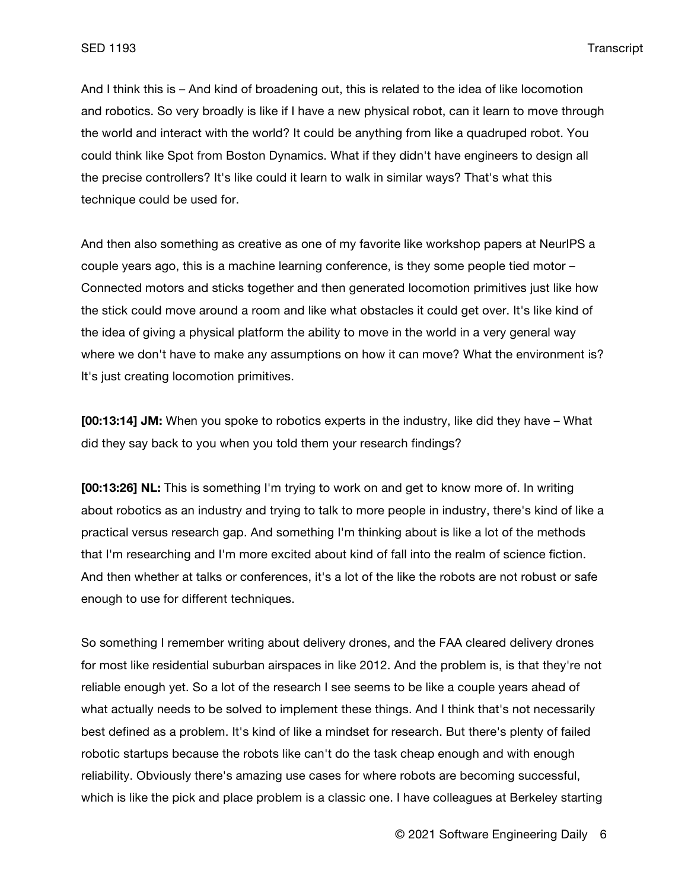And I think this is – And kind of broadening out, this is related to the idea of like locomotion and robotics. So very broadly is like if I have a new physical robot, can it learn to move through the world and interact with the world? It could be anything from like a quadruped robot. You could think like Spot from Boston Dynamics. What if they didn't have engineers to design all the precise controllers? It's like could it learn to walk in similar ways? That's what this technique could be used for.

And then also something as creative as one of my favorite like workshop papers at NeurIPS a couple years ago, this is a machine learning conference, is they some people tied motor – Connected motors and sticks together and then generated locomotion primitives just like how the stick could move around a room and like what obstacles it could get over. It's like kind of the idea of giving a physical platform the ability to move in the world in a very general way where we don't have to make any assumptions on how it can move? What the environment is? It's just creating locomotion primitives.

**[00:13:14] JM:** When you spoke to robotics experts in the industry, like did they have – What did they say back to you when you told them your research findings?

**[00:13:26] NL:** This is something I'm trying to work on and get to know more of. In writing about robotics as an industry and trying to talk to more people in industry, there's kind of like a practical versus research gap. And something I'm thinking about is like a lot of the methods that I'm researching and I'm more excited about kind of fall into the realm of science fiction. And then whether at talks or conferences, it's a lot of the like the robots are not robust or safe enough to use for different techniques.

So something I remember writing about delivery drones, and the FAA cleared delivery drones for most like residential suburban airspaces in like 2012. And the problem is, is that they're not reliable enough yet. So a lot of the research I see seems to be like a couple years ahead of what actually needs to be solved to implement these things. And I think that's not necessarily best defined as a problem. It's kind of like a mindset for research. But there's plenty of failed robotic startups because the robots like can't do the task cheap enough and with enough reliability. Obviously there's amazing use cases for where robots are becoming successful, which is like the pick and place problem is a classic one. I have colleagues at Berkeley starting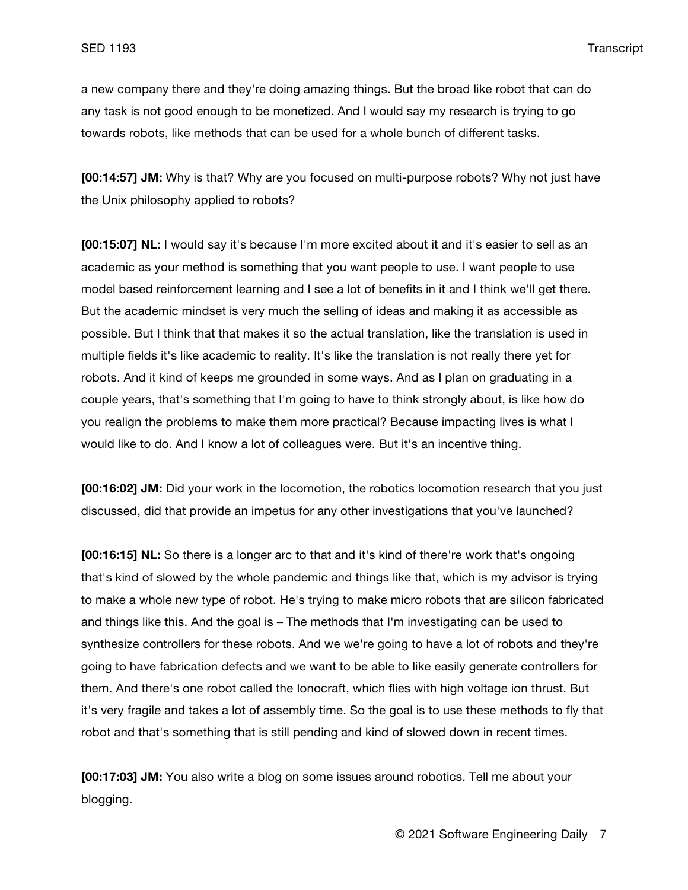a new company there and they're doing amazing things. But the broad like robot that can do any task is not good enough to be monetized. And I would say my research is trying to go towards robots, like methods that can be used for a whole bunch of different tasks.

**[00:14:57] JM:** Why is that? Why are you focused on multi-purpose robots? Why not just have the Unix philosophy applied to robots?

**[00:15:07] NL:** I would say it's because I'm more excited about it and it's easier to sell as an academic as your method is something that you want people to use. I want people to use model based reinforcement learning and I see a lot of benefits in it and I think we'll get there. But the academic mindset is very much the selling of ideas and making it as accessible as possible. But I think that that makes it so the actual translation, like the translation is used in multiple fields it's like academic to reality. It's like the translation is not really there yet for robots. And it kind of keeps me grounded in some ways. And as I plan on graduating in a couple years, that's something that I'm going to have to think strongly about, is like how do you realign the problems to make them more practical? Because impacting lives is what I would like to do. And I know a lot of colleagues were. But it's an incentive thing.

**[00:16:02] JM:** Did your work in the locomotion, the robotics locomotion research that you just discussed, did that provide an impetus for any other investigations that you've launched?

**[00:16:15] NL:** So there is a longer arc to that and it's kind of there're work that's ongoing that's kind of slowed by the whole pandemic and things like that, which is my advisor is trying to make a whole new type of robot. He's trying to make micro robots that are silicon fabricated and things like this. And the goal is – The methods that I'm investigating can be used to synthesize controllers for these robots. And we we're going to have a lot of robots and they're going to have fabrication defects and we want to be able to like easily generate controllers for them. And there's one robot called the Ionocraft, which flies with high voltage ion thrust. But it's very fragile and takes a lot of assembly time. So the goal is to use these methods to fly that robot and that's something that is still pending and kind of slowed down in recent times.

**[00:17:03] JM:** You also write a blog on some issues around robotics. Tell me about your blogging.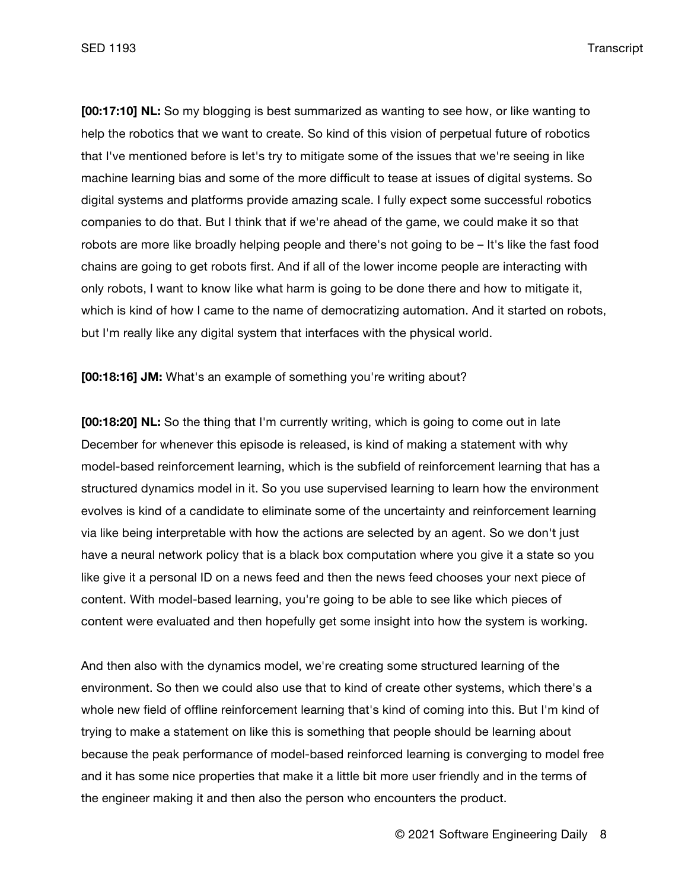**[00:17:10] NL:** So my blogging is best summarized as wanting to see how, or like wanting to help the robotics that we want to create. So kind of this vision of perpetual future of robotics that I've mentioned before is let's try to mitigate some of the issues that we're seeing in like machine learning bias and some of the more difficult to tease at issues of digital systems. So digital systems and platforms provide amazing scale. I fully expect some successful robotics companies to do that. But I think that if we're ahead of the game, we could make it so that robots are more like broadly helping people and there's not going to be – It's like the fast food chains are going to get robots first. And if all of the lower income people are interacting with only robots, I want to know like what harm is going to be done there and how to mitigate it, which is kind of how I came to the name of democratizing automation. And it started on robots, but I'm really like any digital system that interfaces with the physical world.

**[00:18:16] JM:** What's an example of something you're writing about?

**[00:18:20] NL:** So the thing that I'm currently writing, which is going to come out in late December for whenever this episode is released, is kind of making a statement with why model-based reinforcement learning, which is the subfield of reinforcement learning that has a structured dynamics model in it. So you use supervised learning to learn how the environment evolves is kind of a candidate to eliminate some of the uncertainty and reinforcement learning via like being interpretable with how the actions are selected by an agent. So we don't just have a neural network policy that is a black box computation where you give it a state so you like give it a personal ID on a news feed and then the news feed chooses your next piece of content. With model-based learning, you're going to be able to see like which pieces of content were evaluated and then hopefully get some insight into how the system is working.

And then also with the dynamics model, we're creating some structured learning of the environment. So then we could also use that to kind of create other systems, which there's a whole new field of offline reinforcement learning that's kind of coming into this. But I'm kind of trying to make a statement on like this is something that people should be learning about because the peak performance of model-based reinforced learning is converging to model free and it has some nice properties that make it a little bit more user friendly and in the terms of the engineer making it and then also the person who encounters the product.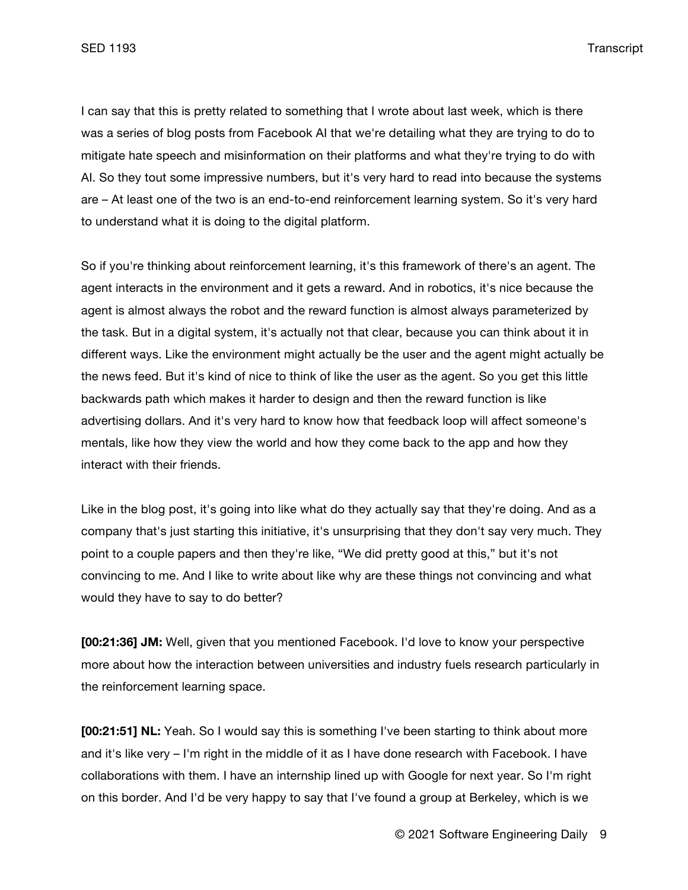SED 1193 Transcript

I can say that this is pretty related to something that I wrote about last week, which is there was a series of blog posts from Facebook AI that we're detailing what they are trying to do to mitigate hate speech and misinformation on their platforms and what they're trying to do with AI. So they tout some impressive numbers, but it's very hard to read into because the systems are – At least one of the two is an end-to-end reinforcement learning system. So it's very hard to understand what it is doing to the digital platform.

So if you're thinking about reinforcement learning, it's this framework of there's an agent. The agent interacts in the environment and it gets a reward. And in robotics, it's nice because the agent is almost always the robot and the reward function is almost always parameterized by the task. But in a digital system, it's actually not that clear, because you can think about it in different ways. Like the environment might actually be the user and the agent might actually be the news feed. But it's kind of nice to think of like the user as the agent. So you get this little backwards path which makes it harder to design and then the reward function is like advertising dollars. And it's very hard to know how that feedback loop will affect someone's mentals, like how they view the world and how they come back to the app and how they interact with their friends.

Like in the blog post, it's going into like what do they actually say that they're doing. And as a company that's just starting this initiative, it's unsurprising that they don't say very much. They point to a couple papers and then they're like, "We did pretty good at this," but it's not convincing to me. And I like to write about like why are these things not convincing and what would they have to say to do better?

**[00:21:36] JM:** Well, given that you mentioned Facebook. I'd love to know your perspective more about how the interaction between universities and industry fuels research particularly in the reinforcement learning space.

**[00:21:51] NL:** Yeah. So I would say this is something I've been starting to think about more and it's like very – I'm right in the middle of it as I have done research with Facebook. I have collaborations with them. I have an internship lined up with Google for next year. So I'm right on this border. And I'd be very happy to say that I've found a group at Berkeley, which is we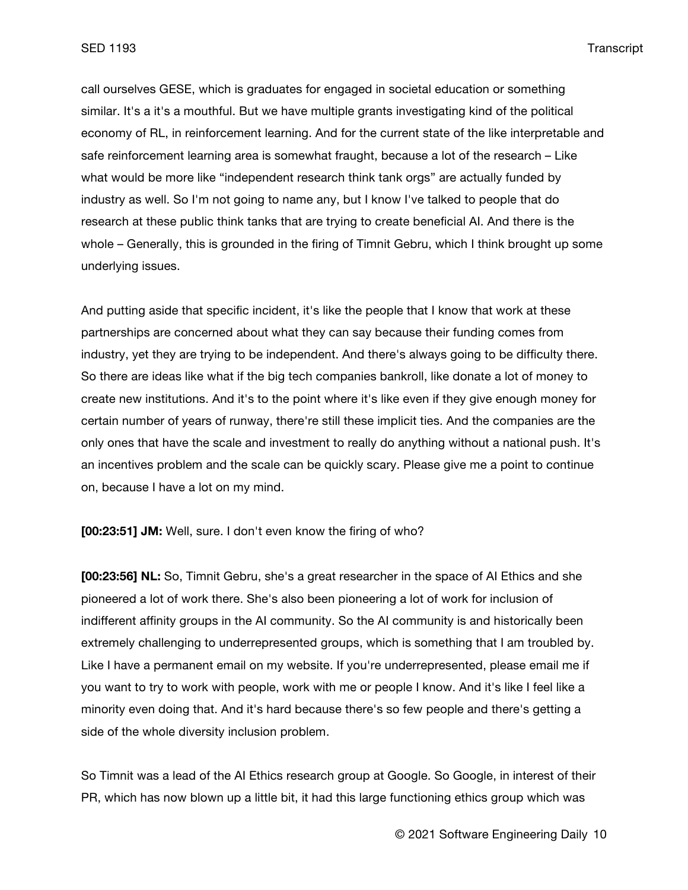call ourselves GESE, which is graduates for engaged in societal education or something similar. It's a it's a mouthful. But we have multiple grants investigating kind of the political economy of RL, in reinforcement learning. And for the current state of the like interpretable and safe reinforcement learning area is somewhat fraught, because a lot of the research – Like what would be more like "independent research think tank orgs" are actually funded by industry as well. So I'm not going to name any, but I know I've talked to people that do research at these public think tanks that are trying to create beneficial AI. And there is the whole – Generally, this is grounded in the firing of Timnit Gebru, which I think brought up some underlying issues.

And putting aside that specific incident, it's like the people that I know that work at these partnerships are concerned about what they can say because their funding comes from industry, yet they are trying to be independent. And there's always going to be difficulty there. So there are ideas like what if the big tech companies bankroll, like donate a lot of money to create new institutions. And it's to the point where it's like even if they give enough money for certain number of years of runway, there're still these implicit ties. And the companies are the only ones that have the scale and investment to really do anything without a national push. It's an incentives problem and the scale can be quickly scary. Please give me a point to continue on, because I have a lot on my mind.

## **[00:23:51] JM:** Well, sure. I don't even know the firing of who?

**[00:23:56] NL:** So, Timnit Gebru, she's a great researcher in the space of AI Ethics and she pioneered a lot of work there. She's also been pioneering a lot of work for inclusion of indifferent affinity groups in the AI community. So the AI community is and historically been extremely challenging to underrepresented groups, which is something that I am troubled by. Like I have a permanent email on my website. If you're underrepresented, please email me if you want to try to work with people, work with me or people I know. And it's like I feel like a minority even doing that. And it's hard because there's so few people and there's getting a side of the whole diversity inclusion problem.

So Timnit was a lead of the AI Ethics research group at Google. So Google, in interest of their PR, which has now blown up a little bit, it had this large functioning ethics group which was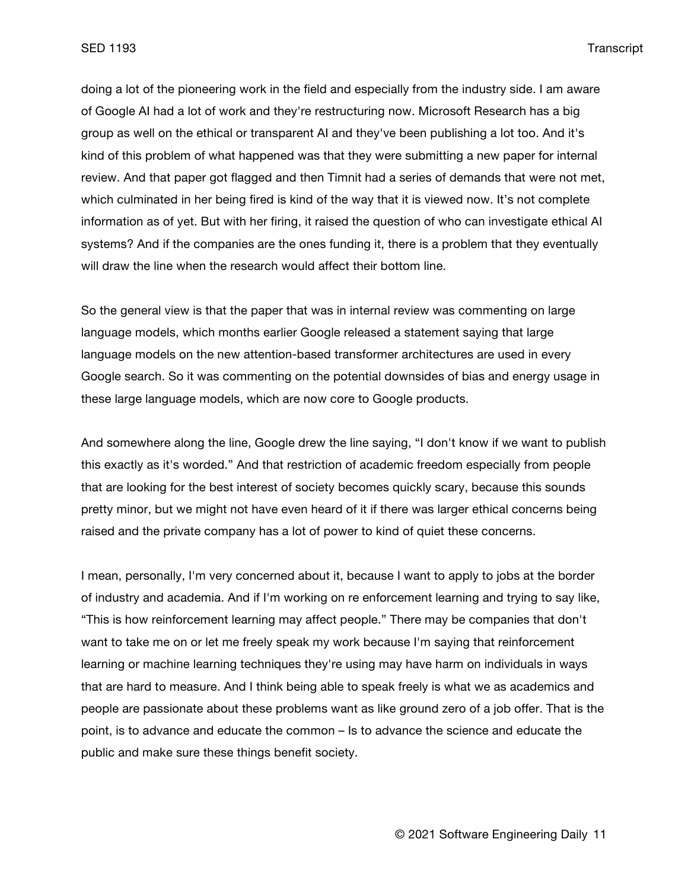doing a lot of the pioneering work in the field and especially from the industry side. I am aware of Google AI had a lot of work and they're restructuring now. Microsoft Research has a big group as well on the ethical or transparent AI and they've been publishing a lot too. And it's kind of this problem of what happened was that they were submitting a new paper for internal review. And that paper got flagged and then Timnit had a series of demands that were not met, which culminated in her being fired is kind of the way that it is viewed now. It's not complete information as of yet. But with her firing, it raised the question of who can investigate ethical AI systems? And if the companies are the ones funding it, there is a problem that they eventually will draw the line when the research would affect their bottom line.

So the general view is that the paper that was in internal review was commenting on large language models, which months earlier Google released a statement saying that large language models on the new attention-based transformer architectures are used in every Google search. So it was commenting on the potential downsides of bias and energy usage in these large language models, which are now core to Google products.

And somewhere along the line, Google drew the line saying, "I don't know if we want to publish this exactly as it's worded." And that restriction of academic freedom especially from people that are looking for the best interest of society becomes quickly scary, because this sounds pretty minor, but we might not have even heard of it if there was larger ethical concerns being raised and the private company has a lot of power to kind of quiet these concerns.

I mean, personally, I'm very concerned about it, because I want to apply to jobs at the border of industry and academia. And if I'm working on re enforcement learning and trying to say like, "This is how reinforcement learning may affect people." There may be companies that don't want to take me on or let me freely speak my work because I'm saying that reinforcement learning or machine learning techniques they're using may have harm on individuals in ways that are hard to measure. And I think being able to speak freely is what we as academics and people are passionate about these problems want as like ground zero of a job offer. That is the point, is to advance and educate the common – Is to advance the science and educate the public and make sure these things benefit society.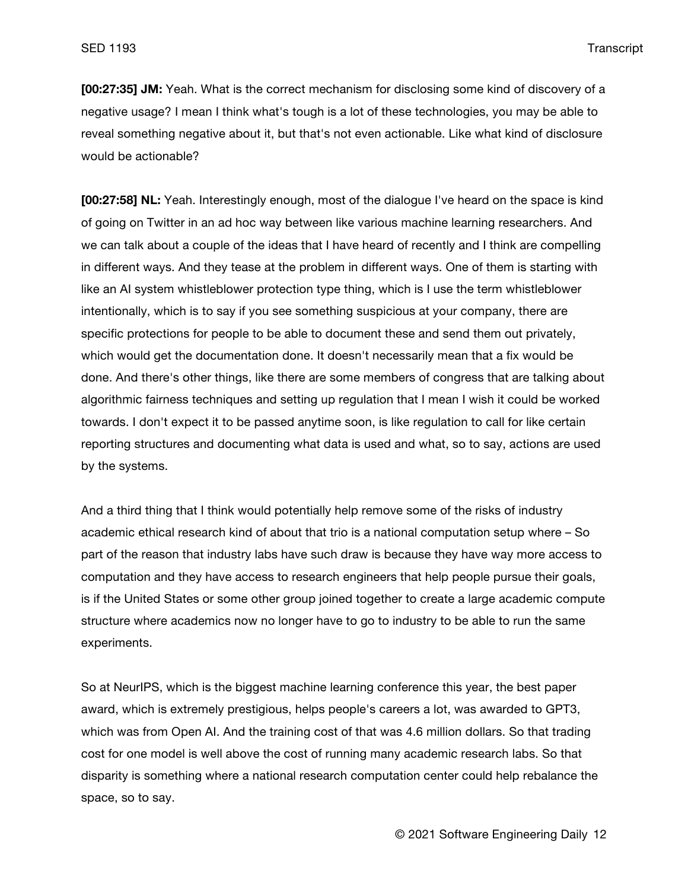**[00:27:35] JM:** Yeah. What is the correct mechanism for disclosing some kind of discovery of a negative usage? I mean I think what's tough is a lot of these technologies, you may be able to reveal something negative about it, but that's not even actionable. Like what kind of disclosure would be actionable?

**[00:27:58] NL:** Yeah. Interestingly enough, most of the dialogue I've heard on the space is kind of going on Twitter in an ad hoc way between like various machine learning researchers. And we can talk about a couple of the ideas that I have heard of recently and I think are compelling in different ways. And they tease at the problem in different ways. One of them is starting with like an AI system whistleblower protection type thing, which is I use the term whistleblower intentionally, which is to say if you see something suspicious at your company, there are specific protections for people to be able to document these and send them out privately, which would get the documentation done. It doesn't necessarily mean that a fix would be done. And there's other things, like there are some members of congress that are talking about algorithmic fairness techniques and setting up regulation that I mean I wish it could be worked towards. I don't expect it to be passed anytime soon, is like regulation to call for like certain reporting structures and documenting what data is used and what, so to say, actions are used by the systems.

And a third thing that I think would potentially help remove some of the risks of industry academic ethical research kind of about that trio is a national computation setup where – So part of the reason that industry labs have such draw is because they have way more access to computation and they have access to research engineers that help people pursue their goals, is if the United States or some other group joined together to create a large academic compute structure where academics now no longer have to go to industry to be able to run the same experiments.

So at NeurIPS, which is the biggest machine learning conference this year, the best paper award, which is extremely prestigious, helps people's careers a lot, was awarded to GPT3, which was from Open AI. And the training cost of that was 4.6 million dollars. So that trading cost for one model is well above the cost of running many academic research labs. So that disparity is something where a national research computation center could help rebalance the space, so to say.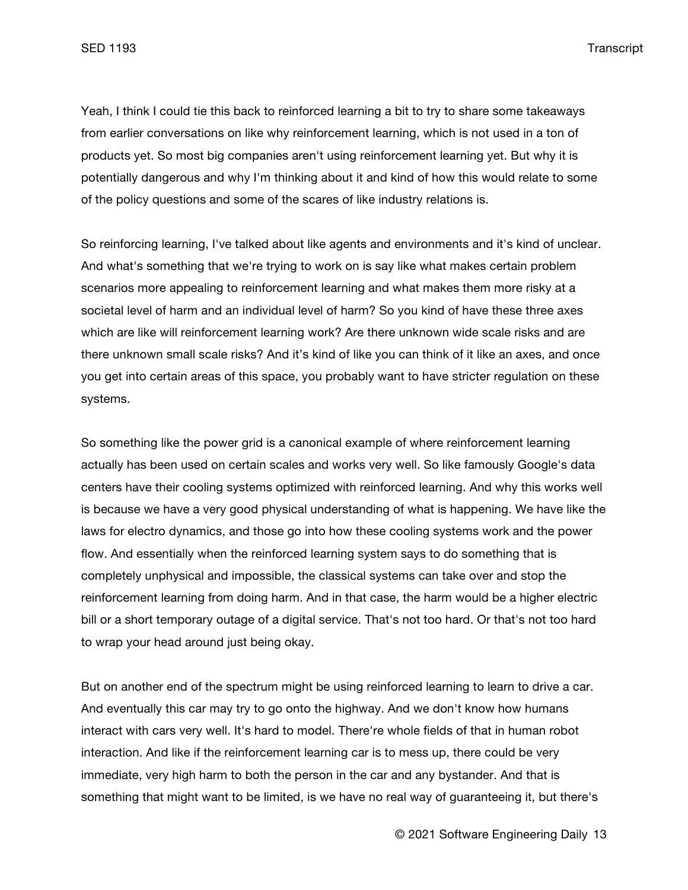Yeah, I think I could tie this back to reinforced learning a bit to try to share some takeaways from earlier conversations on like why reinforcement learning, which is not used in a ton of products yet. So most big companies aren't using reinforcement learning yet. But why it is potentially dangerous and why I'm thinking about it and kind of how this would relate to some of the policy questions and some of the scares of like industry relations is.

So reinforcing learning, I've talked about like agents and environments and it's kind of unclear. And what's something that we're trying to work on is say like what makes certain problem scenarios more appealing to reinforcement learning and what makes them more risky at a societal level of harm and an individual level of harm? So you kind of have these three axes which are like will reinforcement learning work? Are there unknown wide scale risks and are there unknown small scale risks? And it's kind of like you can think of it like an axes, and once you get into certain areas of this space, you probably want to have stricter regulation on these systems.

So something like the power grid is a canonical example of where reinforcement learning actually has been used on certain scales and works very well. So like famously Google's data centers have their cooling systems optimized with reinforced learning. And why this works well is because we have a very good physical understanding of what is happening. We have like the laws for electro dynamics, and those go into how these cooling systems work and the power flow. And essentially when the reinforced learning system says to do something that is completely unphysical and impossible, the classical systems can take over and stop the reinforcement learning from doing harm. And in that case, the harm would be a higher electric bill or a short temporary outage of a digital service. That's not too hard. Or that's not too hard to wrap your head around just being okay.

But on another end of the spectrum might be using reinforced learning to learn to drive a car. And eventually this car may try to go onto the highway. And we don't know how humans interact with cars very well. It's hard to model. There're whole fields of that in human robot interaction. And like if the reinforcement learning car is to mess up, there could be very immediate, very high harm to both the person in the car and any bystander. And that is something that might want to be limited, is we have no real way of guaranteeing it, but there's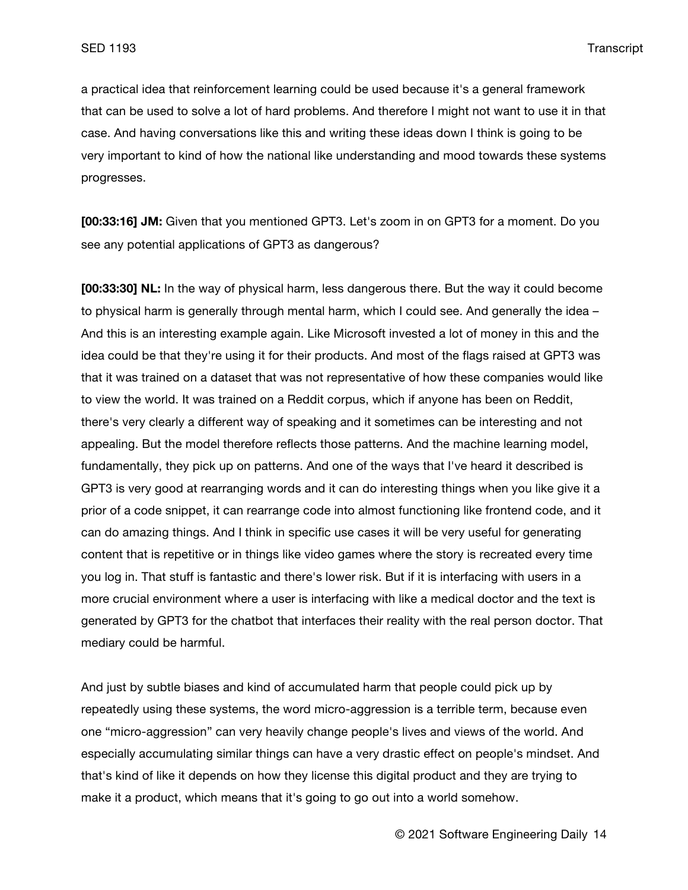a practical idea that reinforcement learning could be used because it's a general framework that can be used to solve a lot of hard problems. And therefore I might not want to use it in that case. And having conversations like this and writing these ideas down I think is going to be very important to kind of how the national like understanding and mood towards these systems progresses.

**[00:33:16] JM:** Given that you mentioned GPT3. Let's zoom in on GPT3 for a moment. Do you see any potential applications of GPT3 as dangerous?

**[00:33:30] NL:** In the way of physical harm, less dangerous there. But the way it could become to physical harm is generally through mental harm, which I could see. And generally the idea – And this is an interesting example again. Like Microsoft invested a lot of money in this and the idea could be that they're using it for their products. And most of the flags raised at GPT3 was that it was trained on a dataset that was not representative of how these companies would like to view the world. It was trained on a Reddit corpus, which if anyone has been on Reddit, there's very clearly a different way of speaking and it sometimes can be interesting and not appealing. But the model therefore reflects those patterns. And the machine learning model, fundamentally, they pick up on patterns. And one of the ways that I've heard it described is GPT3 is very good at rearranging words and it can do interesting things when you like give it a prior of a code snippet, it can rearrange code into almost functioning like frontend code, and it can do amazing things. And I think in specific use cases it will be very useful for generating content that is repetitive or in things like video games where the story is recreated every time you log in. That stuff is fantastic and there's lower risk. But if it is interfacing with users in a more crucial environment where a user is interfacing with like a medical doctor and the text is generated by GPT3 for the chatbot that interfaces their reality with the real person doctor. That mediary could be harmful.

And just by subtle biases and kind of accumulated harm that people could pick up by repeatedly using these systems, the word micro-aggression is a terrible term, because even one "micro-aggression" can very heavily change people's lives and views of the world. And especially accumulating similar things can have a very drastic effect on people's mindset. And that's kind of like it depends on how they license this digital product and they are trying to make it a product, which means that it's going to go out into a world somehow.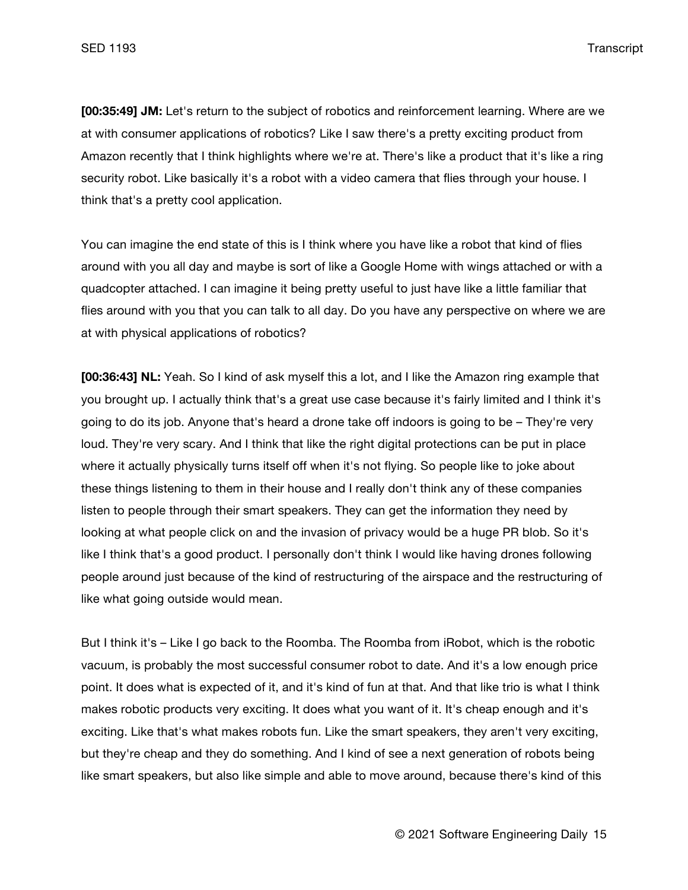**[00:35:49] JM:** Let's return to the subject of robotics and reinforcement learning. Where are we at with consumer applications of robotics? Like I saw there's a pretty exciting product from Amazon recently that I think highlights where we're at. There's like a product that it's like a ring security robot. Like basically it's a robot with a video camera that flies through your house. I think that's a pretty cool application.

You can imagine the end state of this is I think where you have like a robot that kind of flies around with you all day and maybe is sort of like a Google Home with wings attached or with a quadcopter attached. I can imagine it being pretty useful to just have like a little familiar that flies around with you that you can talk to all day. Do you have any perspective on where we are at with physical applications of robotics?

**[00:36:43] NL:** Yeah. So I kind of ask myself this a lot, and I like the Amazon ring example that you brought up. I actually think that's a great use case because it's fairly limited and I think it's going to do its job. Anyone that's heard a drone take off indoors is going to be – They're very loud. They're very scary. And I think that like the right digital protections can be put in place where it actually physically turns itself off when it's not flying. So people like to joke about these things listening to them in their house and I really don't think any of these companies listen to people through their smart speakers. They can get the information they need by looking at what people click on and the invasion of privacy would be a huge PR blob. So it's like I think that's a good product. I personally don't think I would like having drones following people around just because of the kind of restructuring of the airspace and the restructuring of like what going outside would mean.

But I think it's – Like I go back to the Roomba. The Roomba from iRobot, which is the robotic vacuum, is probably the most successful consumer robot to date. And it's a low enough price point. It does what is expected of it, and it's kind of fun at that. And that like trio is what I think makes robotic products very exciting. It does what you want of it. It's cheap enough and it's exciting. Like that's what makes robots fun. Like the smart speakers, they aren't very exciting, but they're cheap and they do something. And I kind of see a next generation of robots being like smart speakers, but also like simple and able to move around, because there's kind of this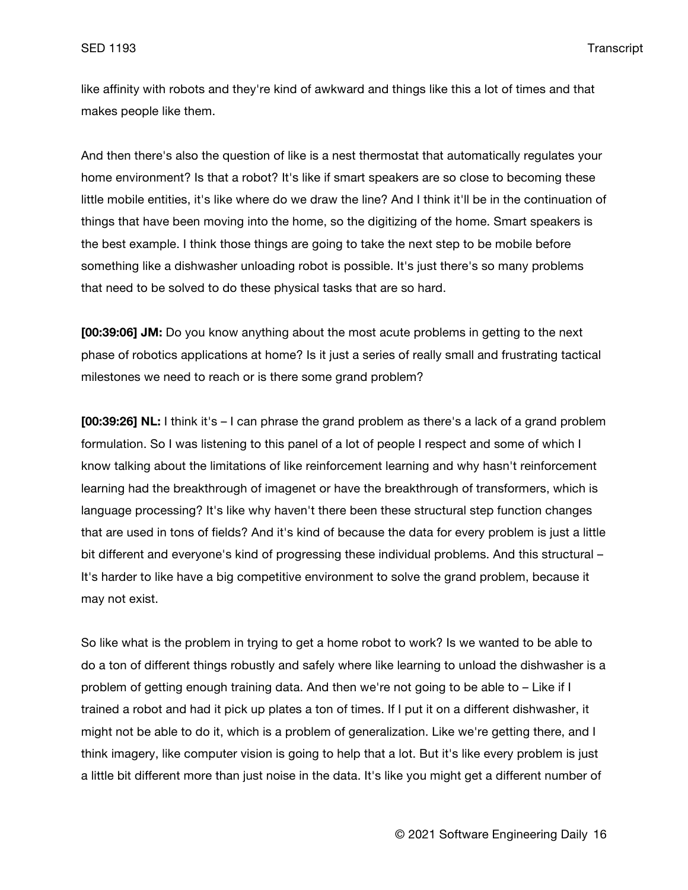like affinity with robots and they're kind of awkward and things like this a lot of times and that makes people like them.

And then there's also the question of like is a nest thermostat that automatically regulates your home environment? Is that a robot? It's like if smart speakers are so close to becoming these little mobile entities, it's like where do we draw the line? And I think it'll be in the continuation of things that have been moving into the home, so the digitizing of the home. Smart speakers is the best example. I think those things are going to take the next step to be mobile before something like a dishwasher unloading robot is possible. It's just there's so many problems that need to be solved to do these physical tasks that are so hard.

**[00:39:06] JM:** Do you know anything about the most acute problems in getting to the next phase of robotics applications at home? Is it just a series of really small and frustrating tactical milestones we need to reach or is there some grand problem?

**[00:39:26] NL:** I think it's – I can phrase the grand problem as there's a lack of a grand problem formulation. So I was listening to this panel of a lot of people I respect and some of which I know talking about the limitations of like reinforcement learning and why hasn't reinforcement learning had the breakthrough of imagenet or have the breakthrough of transformers, which is language processing? It's like why haven't there been these structural step function changes that are used in tons of fields? And it's kind of because the data for every problem is just a little bit different and everyone's kind of progressing these individual problems. And this structural – It's harder to like have a big competitive environment to solve the grand problem, because it may not exist.

So like what is the problem in trying to get a home robot to work? Is we wanted to be able to do a ton of different things robustly and safely where like learning to unload the dishwasher is a problem of getting enough training data. And then we're not going to be able to – Like if I trained a robot and had it pick up plates a ton of times. If I put it on a different dishwasher, it might not be able to do it, which is a problem of generalization. Like we're getting there, and I think imagery, like computer vision is going to help that a lot. But it's like every problem is just a little bit different more than just noise in the data. It's like you might get a different number of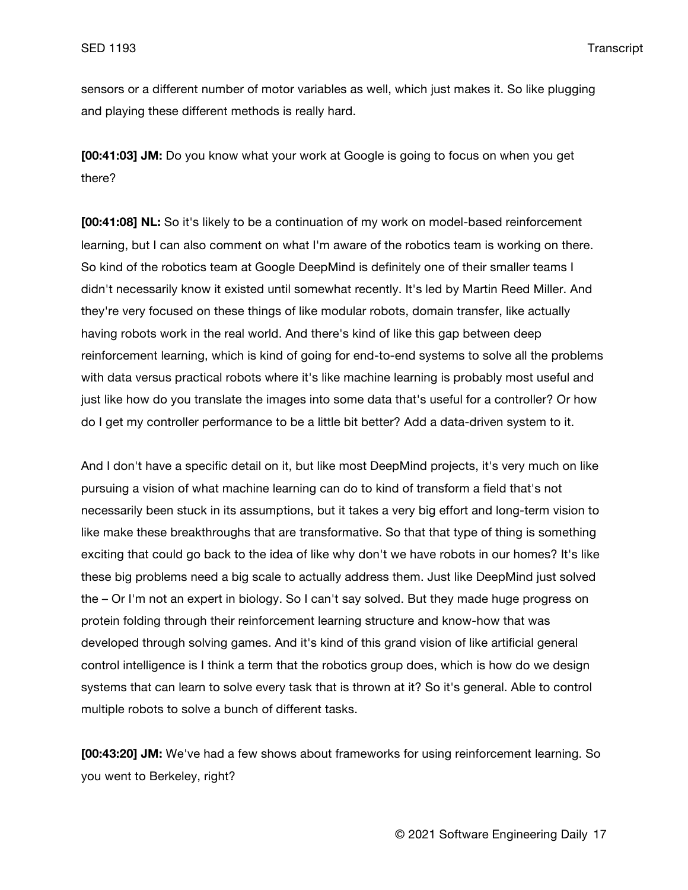sensors or a different number of motor variables as well, which just makes it. So like plugging and playing these different methods is really hard.

**[00:41:03] JM:** Do you know what your work at Google is going to focus on when you get there?

**[00:41:08] NL:** So it's likely to be a continuation of my work on model-based reinforcement learning, but I can also comment on what I'm aware of the robotics team is working on there. So kind of the robotics team at Google DeepMind is definitely one of their smaller teams I didn't necessarily know it existed until somewhat recently. It's led by Martin Reed Miller. And they're very focused on these things of like modular robots, domain transfer, like actually having robots work in the real world. And there's kind of like this gap between deep reinforcement learning, which is kind of going for end-to-end systems to solve all the problems with data versus practical robots where it's like machine learning is probably most useful and just like how do you translate the images into some data that's useful for a controller? Or how do I get my controller performance to be a little bit better? Add a data-driven system to it.

And I don't have a specific detail on it, but like most DeepMind projects, it's very much on like pursuing a vision of what machine learning can do to kind of transform a field that's not necessarily been stuck in its assumptions, but it takes a very big effort and long-term vision to like make these breakthroughs that are transformative. So that that type of thing is something exciting that could go back to the idea of like why don't we have robots in our homes? It's like these big problems need a big scale to actually address them. Just like DeepMind just solved the – Or I'm not an expert in biology. So I can't say solved. But they made huge progress on protein folding through their reinforcement learning structure and know-how that was developed through solving games. And it's kind of this grand vision of like artificial general control intelligence is I think a term that the robotics group does, which is how do we design systems that can learn to solve every task that is thrown at it? So it's general. Able to control multiple robots to solve a bunch of different tasks.

**[00:43:20] JM:** We've had a few shows about frameworks for using reinforcement learning. So you went to Berkeley, right?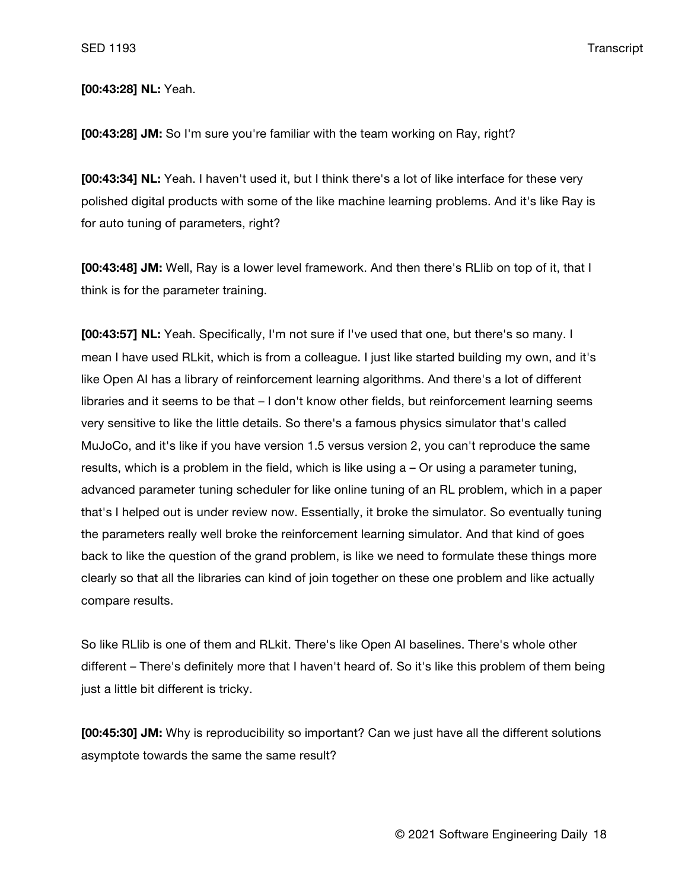## **[00:43:28] NL:** Yeah.

**[00:43:28] JM:** So I'm sure you're familiar with the team working on Ray, right?

**[00:43:34] NL:** Yeah. I haven't used it, but I think there's a lot of like interface for these very polished digital products with some of the like machine learning problems. And it's like Ray is for auto tuning of parameters, right?

**[00:43:48] JM:** Well, Ray is a lower level framework. And then there's RLlib on top of it, that I think is for the parameter training.

**[00:43:57] NL:** Yeah. Specifically, I'm not sure if I've used that one, but there's so many. I mean I have used RLkit, which is from a colleague. I just like started building my own, and it's like Open AI has a library of reinforcement learning algorithms. And there's a lot of different libraries and it seems to be that – I don't know other fields, but reinforcement learning seems very sensitive to like the little details. So there's a famous physics simulator that's called MuJoCo, and it's like if you have version 1.5 versus version 2, you can't reproduce the same results, which is a problem in the field, which is like using a – Or using a parameter tuning, advanced parameter tuning scheduler for like online tuning of an RL problem, which in a paper that's I helped out is under review now. Essentially, it broke the simulator. So eventually tuning the parameters really well broke the reinforcement learning simulator. And that kind of goes back to like the question of the grand problem, is like we need to formulate these things more clearly so that all the libraries can kind of join together on these one problem and like actually compare results.

So like RLlib is one of them and RLkit. There's like Open AI baselines. There's whole other different – There's definitely more that I haven't heard of. So it's like this problem of them being just a little bit different is tricky.

**[00:45:30] JM:** Why is reproducibility so important? Can we just have all the different solutions asymptote towards the same the same result?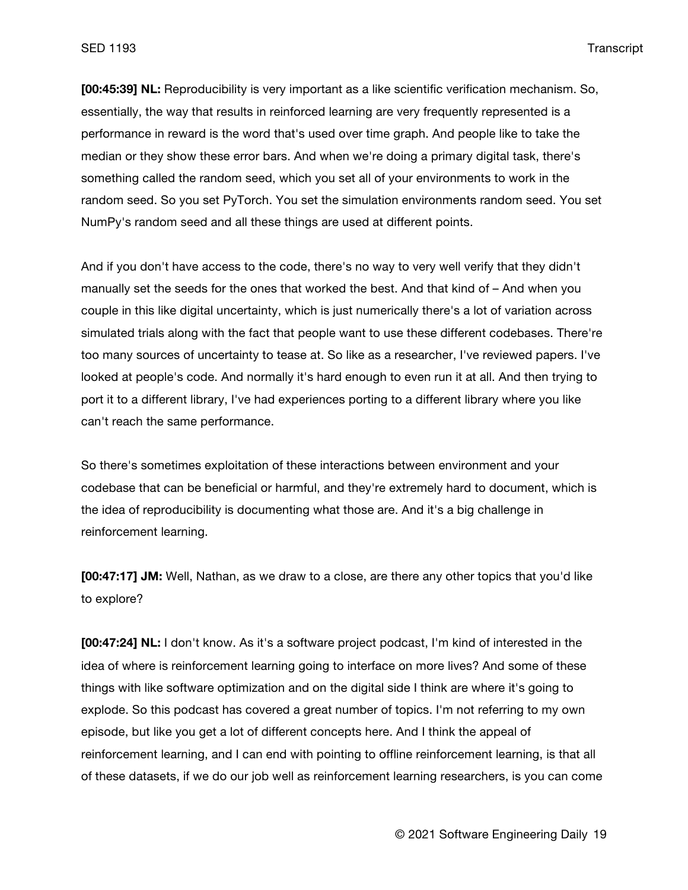**[00:45:39] NL:** Reproducibility is very important as a like scientific verification mechanism. So, essentially, the way that results in reinforced learning are very frequently represented is a performance in reward is the word that's used over time graph. And people like to take the median or they show these error bars. And when we're doing a primary digital task, there's something called the random seed, which you set all of your environments to work in the random seed. So you set PyTorch. You set the simulation environments random seed. You set NumPy's random seed and all these things are used at different points.

And if you don't have access to the code, there's no way to very well verify that they didn't manually set the seeds for the ones that worked the best. And that kind of – And when you couple in this like digital uncertainty, which is just numerically there's a lot of variation across simulated trials along with the fact that people want to use these different codebases. There're too many sources of uncertainty to tease at. So like as a researcher, I've reviewed papers. I've looked at people's code. And normally it's hard enough to even run it at all. And then trying to port it to a different library, I've had experiences porting to a different library where you like can't reach the same performance.

So there's sometimes exploitation of these interactions between environment and your codebase that can be beneficial or harmful, and they're extremely hard to document, which is the idea of reproducibility is documenting what those are. And it's a big challenge in reinforcement learning.

**[00:47:17] JM:** Well, Nathan, as we draw to a close, are there any other topics that you'd like to explore?

**[00:47:24] NL:** I don't know. As it's a software project podcast, I'm kind of interested in the idea of where is reinforcement learning going to interface on more lives? And some of these things with like software optimization and on the digital side I think are where it's going to explode. So this podcast has covered a great number of topics. I'm not referring to my own episode, but like you get a lot of different concepts here. And I think the appeal of reinforcement learning, and I can end with pointing to offline reinforcement learning, is that all of these datasets, if we do our job well as reinforcement learning researchers, is you can come